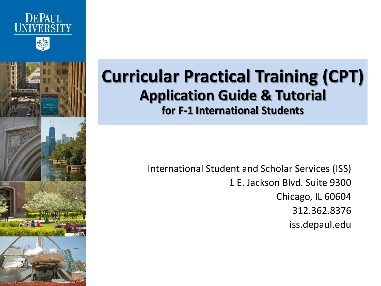





#### **Curricular Practical Training (CPT) Application Guide & Tutorial for F-1 International Students**

International Student and Scholar Services (ISS) 1 E. Jackson Blvd. Suite 9300 Chicago, IL 60604 312.362.8376 iss.depaul.edu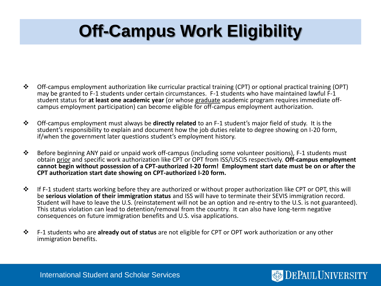# **Off-Campus Work Eligibility**

- Off-campus employment authorization like curricular practical training (CPT) or optional practical training (OPT) may be granted to F-1 students under certain circumstances. F-1 students who have maintained lawful F-1 student status for **at least one academic year** (or whose graduate academic program requires immediate offcampus employment participation) can become eligible for off-campus employment authorization.
- Off-campus employment must always be **directly related** to an F-1 student's major field of study. It is the student's responsibility to explain and document how the job duties relate to degree showing on I-20 form, if/when the government later questions student's employment history.
- Before beginning ANY paid or unpaid work off-campus (including some volunteer positions), F-1 students must obtain prior and specific work authorization like CPT or OPT from ISS/USCIS respectively. **Off-campus employment cannot begin without possession of a CPT-authorized I-20 form! Employment start date must be on or after the CPT authorization start date showing on CPT-authorized I-20 form.**
- $\cdot \cdot$  If F-1 student starts working before they are authorized or without proper authorization like CPT or OPT, this will be **serious violation of their immigration status** and ISS will have to terminate their SEVIS immigration record. Student will have to leave the U.S. (reinstatement will not be an option and re-entry to the U.S. is not guaranteed). This status violation can lead to detention/removal from the country. It can also have long-term negative consequences on future immigration benefits and U.S. visa applications.

**DEPAUL UNIVERSITY** 

 F-1 students who are **already out of status** are not eligible for CPT or OPT work authorization or any other immigration benefits.

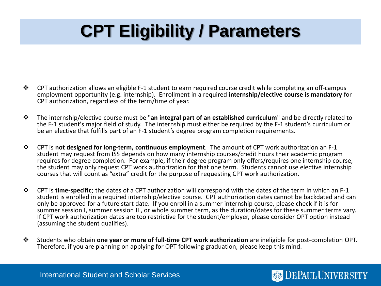# **CPT Eligibility / Parameters**

- $\bullet$  CPT authorization allows an eligible F-1 student to earn required course credit while completing an off-campus employment opportunity (e.g. internship). Enrollment in a required **internship/elective course is mandatory** for CPT authorization, regardless of the term/time of year.
- The internship/elective course must be "**an integral part of an established curriculum**" and be directly related to the F-1 student's major field of study. The internship must either be required by the F-1 student's curriculum or be an elective that fulfills part of an F-1 student's degree program completion requirements.
- CPT is **not designed for long-term, continuous employment**. The amount of CPT work authorization an F-1 student may request from ISS depends on how many internship courses/credit hours their academic program requires for degree completion. For example, if their degree program only offers/requires one internship course, the student may only request CPT work authorization for that one term. Students cannot use elective internship courses that will count as "extra" credit for the purpose of requesting CPT work authorization.
- CPT is **time-specific**; the dates of a CPT authorization will correspond with the dates of the term in which an F-1 student is enrolled in a required internship/elective course. CPT authorization dates cannot be backdated and can only be approved for a future start date. If you enroll in a summer internship course, please check if it is for summer session I, summer session II , or whole summer term, as the duration/dates for these summer terms vary. If CPT work authorization dates are too restrictive for the student/employer, please consider OPT option instead (assuming the student qualifies).
- Students who obtain **one year or more of full-time CPT work authorization** are ineligible for post-completion OPT. Therefore, if you are planning on applying for OPT following graduation, please keep this mind.

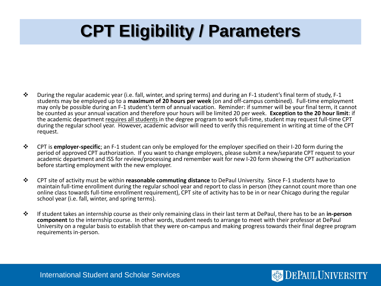# **CPT Eligibility / Parameters**

- $\clubsuit$  During the regular academic year (i.e. fall, winter, and spring terms) and during an F-1 student's final term of study, F-1 students may be employed up to a **maximum of 20 hours per week** (on and off-campus combined). Full-time employment may only be possible during an F-1 student's term of annual vacation. Reminder: if summer will be your final term, it cannot be counted as your annual vacation and therefore your hours will be limited 20 per week. **Exception to the 20 hour limit**: if the academic department requires all students in the degree program to work full-time, student may request full-time CPT during the regular school year. However, academic advisor will need to verify this requirement in writing at time of the CPT request.
- CPT is **employer-specific**; an F-1 student can only be employed for the employer specified on their I-20 form during the period of approved CPT authorization. If you want to change employers, please submit a new/separate CPT request to your academic department and ISS for review/processing and remember wait for new I-20 form showing the CPT authorization before starting employment with the new employer.
- CPT site of activity must be within **reasonable commuting distance** to DePaul University. Since F-1 students have to maintain full-time enrollment during the regular school year and report to class in person (they cannot count more than one online class towards full-time enrollment requirement), CPT site of activity has to be in or near Chicago during the regular school year (i.e. fall, winter, and spring terms).
- If student takes an internship course as their only remaining class in their last term at DePaul, there has to be an **in-person component** to the internship course. In other words, student needs to arrange to meet with their professor at DePaul University on a regular basis to establish that they were on-campus and making progress towards their final degree program requirements in-person.

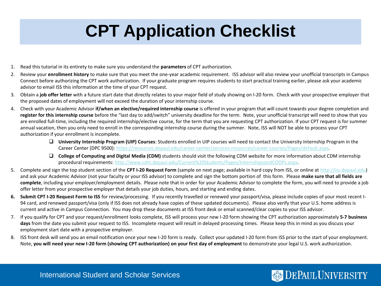### **CPT Application Checklist**

- 1. Read this tutorial in its entirety to make sure you understand the **parameters** of CPT authorization.
- 2. Review your **enrollment history** to make sure that you meet the one-year academic requirement. ISS advisor will also review your unofficial transcripts in Campus Connect before authorizing the CPT work authorization. If your graduate program requires students to start practical training earlier, please ask your academic advisor to email ISS this information at the time of your CPT request.
- 3. Obtain a **job offer letter** with a future start date that directly relates to your major field of study showing on I-20 form. Check with your prospective employer that the proposed dates of employment will not exceed the duration of your internship course.
- 4. Check with your Academic Advisor **if/when an elective/required internship course** is offered in your program that will count towards your degree completion and **register for this internship course** before the "last day to add/switch" university deadline for the term. Note, your unofficial transcript will need to show that you are enrolled full-time, including the required internship/elective course, for the term that you are requesting CPT authorization. If your CPT request is for summer annual vacation, then you only need to enroll in the corresponding internship course during the summer. Note, ISS will NOT be able to process your CPT authorization if your enrollment is incomplete.
	- **University Internship Program (UIP) Courses**: Students enrolled in UIP courses will need to contact the University Internship Program in the Career Center (DPC 9500): <https://resources.depaul.edu/career-center/services-resources/career-courses/Pages/default.aspx>.
	- **College of Computing and Digital Media (CDM)** students should visit the following CDM website for more information about CDM internship procedural requirements: [http://www.cdm.depaul.edu/Current%20Students/Pages/InternshipsandCOOPs.aspx.](http://www.cdm.depaul.edu/Current%20Students/Pages/InternshipsandCOOPs.aspx)
- 5. Complete and sign the top student section of the **CPT I-20 Request Form** (sample on next page; available in hard copy from ISS, or online at [http://iss.depaul.edu](http://iss.depaul.edu/)) and ask your Academic Advisor (not your faculty or your ISS advisor) to complete and sign the bottom portion of this form. Please **make sure that all fields are complete**, including your employer/employment details. Please note that in order for your Academic Advisor to complete the form, you will need to provide a job offer letter from your prospective employer that details your job duties, hours, and starting and ending dates.
- **6. Submit CPT I-20 Request Form to ISS** for review/processing. If you recently travelled or renewed your passport/visa, please include copies of your most recent I-94 card, and renewed passport/visa (only if ISS does not already have copies of these updated documents). Please also verify that your U.S. home address is current and active in Campus Connection. You may drop these documents at ISS front desk or email scanned/clear copies to your ISS advisor.
- 7. If you qualify for CPT and your request/enrollment looks complete, ISS will process your new I-20 form showing the CPT authorization approximately **5-7 business days** from the date you submit your request to ISS. Incomplete request will result in delayed processing times. Please keep this in mind as you discuss your employment start date with a prospective employer.
- 8. ISS front desk will send you an email notification once your new I-20 form is ready. Collect your updated I-20 form from ISS prior to the start of your employment. Note, you will need your new I-20 form (showing CPT authorization) on your first day of employment to demonstrate your legal U.S. work authorization.

#### International Student and Scholar Services